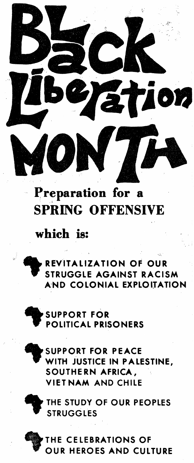



THE STUDY OF OUR PEOPLES **STRUGGLES** 

SUPPORT FOR PEACE WITH JUSTICE IN PALESTINE, SOUTHERN AFRICA. VIETNAM AND CHILE



REVITALIZATION OF OUR STRUGGLE AGAINST RACISM **AND COLONIAL EXPLOITATION** 

Preparation for a

SPRING OFFENSIVE

## which is:



**STION**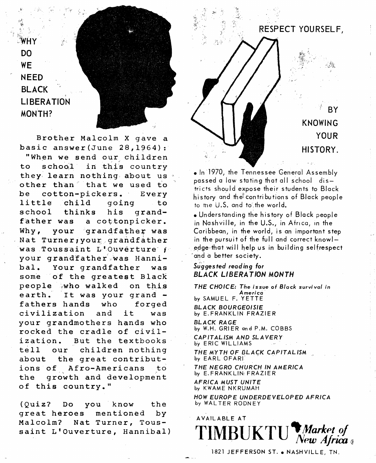$\mathsf{w}\mathsf{H}\mathsf{y}$ DO WE NEED BLACK **LIBERATION** MONTH?



Brother Malcolm *X* gave a basic answer(June 28,1964): "When we send our children to school in this country they learn nothing about us other than" that we used *io*  be cotton-pickers. Every little child going to school thinks his grand-<br>father was a cottonpicker. a cottonpicker. Why, your grandfather was Nat Turner, your grandfather was Toussaint L'Ouvêrture f your grandfather was Hannibal. Your grandfather was some of the greatest Black people who walked on this earth. It was your grand -<br>fathers hands who forged fathers hands civilization and it was your grandmothers hands who rocked the cradle of civilization. But the textbooks tell our children nothing about the great contributions of Afro-Americans to the growth and development of this country."

(Quiz? Do you know the great heroes mentioned by Malcolm? Nat Turner, Toussaint L'Ouverture, Hannibal)





1 BY KNOWING YOUR HISTORY.

• In 1970, the Tennessee General Assembly passed a law stating that all school districts should expose their students to Black history and the contributions of Black people to the U.S. and to the world.

• Understanding the history of Black people in Nashville, in the U.S., in Africa, in the Caribbean, in the world, is an important step in the pursuit of the full and correct knowledge that will help us in building selfrespect ·and a better society.

## *Suggested reading for*  BLACK LIBERATION MONTH

THE CHOICE: The issue of Block survival in America by SAMUEL F. YETTE BLACK BOURGEOISIE by E.FRANKLIN FRAZIER

BLACK RAGE by W.H. GRIER and P.M. COBBS

CAPITALISM AND SLAVERY by ERIC WILLIAMS

THE MYTH OF BLACK CAPITALISM by EARL OFARI

THE NEGRO CHURCH IN AMERICA by E. FRANKLIN, FRAZIER

AFRICA MUST UNITE by KWAME NKRUMAH

HOW EUROPE UNDERDEVELOPED AFRICA by WALTER RODNEY

AVAILABLE AT  $\text{TIMBUKTU}$  *Market of New Africa* 

1821 JEFFERSON ST. . NASHVILLE, TN.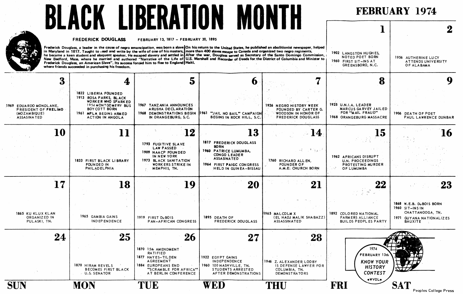

Peoples College Press